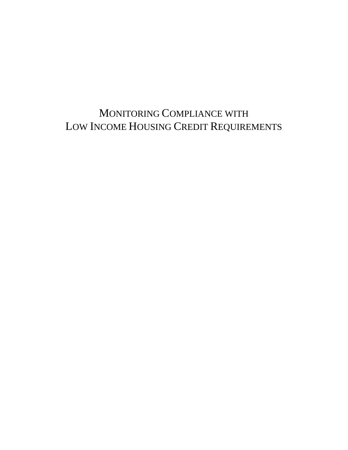## MONITORING COMPLIANCE WITH LOW INCOME HOUSING CREDIT REQUIREMENTS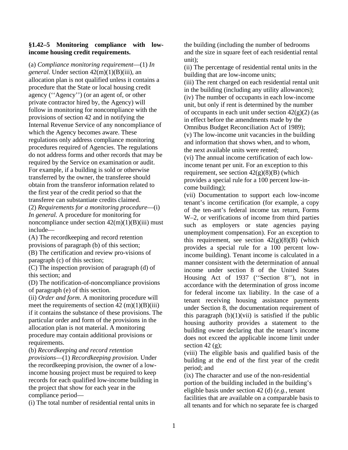## **§1.42–5 Monitoring compliance with lowincome housing credit requirements.**

(a) *Compliance monitoring requirement*—(1) *In general.* Under section 42(m)(1)(B)(iii), an allocation plan is not qualified unless it contains a procedure that the State or local housing credit agency (''Agency'') (or an agent of, or other private contractor hired by, the Agency) will follow in monitoring for noncompliance with the provisions of section 42 and in notifying the Internal Revenue Service of any noncompliance of which the Agency becomes aware. These regulations only address compliance monitoring procedures required of Agencies. The regulations do not address forms and other records that may be required by the Service on examination or audit. For example, if a building is sold or otherwise transferred by the owner, the transferee should obtain from the transferor information related to the first year of the credit period so that the transferee can substantiate credits claimed.

(2) *Requirements for a monitoring procedure*—(i) *In general.* A procedure for monitoring for noncompliance under section  $42(m)(1)(B)(iii)$  must include—

(A) The recordkeeping and record retention provisions of paragraph (b) of this section; (B) The certification and review pro-visions of paragraph (c) of this section;

(C) The inspection provision of paragraph (d) of this section; and

(D) The notification-of-noncompliance provisions of paragraph (e) of this section.

(ii) *Order and form.* A monitoring procedure will meet the requirements of section  $42 \text{ (m)}(1)(B)$ (iii) if it contains the substance of these provisions. The particular order and form of the provisions in the allocation plan is not material. A monitoring procedure may contain additional provisions or requirements.

(b) *Recordkeeping and record retention* 

*provisions*—(1) *Recordkeeping provision.* Under the recordkeeping provision, the owner of a lowincome housing project must be required to keep records for each qualified low-income building in the project that show for each year in the compliance period—

(i) The total number of residential rental units in

the building (including the number of bedrooms and the size in square feet of each residential rental unit);

(ii) The percentage of residential rental units in the building that are low-income units;

(iii) The rent charged on each residential rental unit in the building (including any utility allowances); (iv) The number of occupants in each low-income unit, but only if rent is determined by the number of occupants in each unit under section  $42(g)(2)$  (as in effect before the amendments made by the Omnibus Budget Reconciliation Act of 1989);

(v) The low-income unit vacancies in the building and information that shows when, and to whom, the next available units were rented;

(vi) The annual income certification of each lowincome tenant per unit. For an exception to this requirement, see section  $42(g)(8)(B)$  (which provides a special rule for a 100 percent low-income building);

(vii) Documentation to support each low-income tenant's income certification (for example, a copy of the ten-ant's federal income tax return, Forms W–2, or verifications of income from third parties such as employers or state agencies paying unemployment compensation). For an exception to this requirement, see section  $42(g)(8)(B)$  (which provides a special rule for a 100 percent lowincome building). Tenant income is calculated in a manner consistent with the determination of annual income under section 8 of the United States Housing Act of 1937 (''Section 8''), not in accordance with the determination of gross income for federal income tax liability. In the case of a tenant receiving housing assistance payments under Section 8, the documentation requirement of this paragraph  $(b)(1)(vii)$  is satisfied if the public housing authority provides a statement to the building owner declaring that the tenant's income does not exceed the applicable income limit under section 42 $(g)$ ;

(viii) The eligible basis and qualified basis of the building at the end of the first year of the credit period; and

(ix) The character and use of the non-residential portion of the building included in the building's eligible basis under section 42 (d) (*e.g.*, tenant facilities that are available on a comparable basis to all tenants and for which no separate fee is charged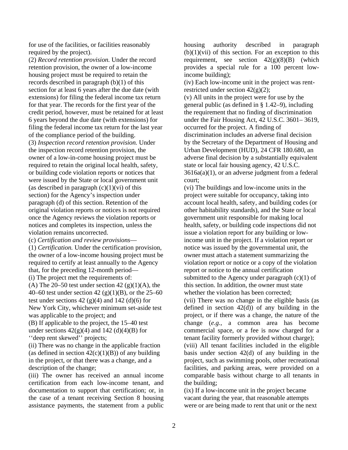for use of the facilities, or facilities reasonably required by the project).

(2) *Record retention provision.* Under the record retention provision, the owner of a low-income housing project must be required to retain the records described in paragraph (b)(1) of this section for at least 6 years after the due date (with extensions) for filing the federal income tax return for that year. The records for the first year of the credit period, however, must be retained for at least 6 years beyond the due date (with extensions) for filing the federal income tax return for the last year of the compliance period of the building. (3) *Inspection record retention provision.* Under the inspection record retention provision, the owner of a low-in-come housing project must be required to retain the original local health, safety, or building code violation reports or notices that

were issued by the State or local government unit (as described in paragraph  $(c)(1)(vi)$  of this section) for the Agency's inspection under paragraph (d) of this section. Retention of the original violation reports or notices is not required once the Agency reviews the violation reports or notices and completes its inspection, unless the violation remains uncorrected.

(c) *Certification and review provisions*—

(1) *Certification.* Under the certification provision, the owner of a low-income housing project must be required to certify at least annually to the Agency that, for the preceding 12-month period— (i) The project met the requirements of: (A) The 20–50 test under section 42 (g)(1)(A), the 40–60 test under section 42 (g)(1)(B), or the  $25-60$ test under sections  $42$  (g)(4) and  $142$  (d)(6) for New York City, whichever minimum set-aside test was applicable to the project; and

(B) If applicable to the project, the 15–40 test under sections  $42(g)(4)$  and  $142(d)(4)(B)$  for ''deep rent skewed'' projects;

(ii) There was no change in the applicable fraction (as defined in section  $42(c)(1)(B)$ ) of any building in the project, or that there was a change, and a description of the change;

(iii) The owner has received an annual income certification from each low-income tenant, and documentation to support that certification; or, in the case of a tenant receiving Section 8 housing assistance payments, the statement from a public

housing authority described in paragraph  $(b)(1)(vii)$  of this section. For an exception to this requirement, see section  $42(g)(8)(B)$  (which provides a special rule for a 100 percent lowincome building);

(iv) Each low-income unit in the project was rentrestricted under section  $42(g)(2)$ ;

(v) All units in the project were for use by the general public (as defined in § 1.42–9), including the requirement that no finding of discrimination under the Fair Housing Act, 42 U.S.C. 3601– 3619, occurred for the project. A finding of discrimination includes an adverse final decision by the Secretary of the Department of Housing and Urban Development (HUD), 24 CFR 180.680, an adverse final decision by a substantially equivalent state or local fair housing agency, 42 U.S.C.  $3616a(a)(1)$ , or an adverse judgment from a federal court;

(vi) The buildings and low-income units in the project were suitable for occupancy, taking into account local health, safety, and building codes (or other habitability standards), and the State or local government unit responsible for making local health, safety, or building code inspections did not issue a violation report for any building or lowincome unit in the project. If a violation report or notice was issued by the governmental unit, the owner must attach a statement summarizing the violation report or notice or a copy of the violation report or notice to the annual certification submitted to the Agency under paragraph  $(c)(1)$  of this section. In addition, the owner must state whether the violation has been corrected; (vii) There was no change in the eligible basis (as defined in section  $42(d)$  of any building in the project, or if there was a change, the nature of the change (*e.g.*, a common area has become commercial space, or a fee is now charged for a tenant facility formerly provided without charge); (viii) All tenant facilities included in the eligible basis under section 42(d) of any building in the project, such as swimming pools, other recreational facilities, and parking areas, were provided on a comparable basis without charge to all tenants in the building;

(ix) If a low-income unit in the project became vacant during the year, that reasonable attempts were or are being made to rent that unit or the next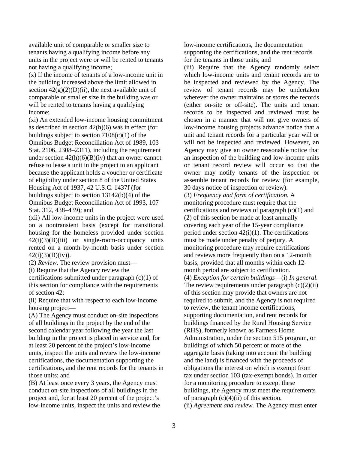available unit of comparable or smaller size to tenants having a qualifying income before any units in the project were or will be rented to tenants not having a qualifying income;

(x) If the income of tenants of a low-income unit in the building increased above the limit allowed in section  $42(g)(2)(D)(ii)$ , the next available unit of comparable or smaller size in the building was or will be rented to tenants having a qualifying income;

(xi) An extended low-income housing commitment as described in section 42(h)(6) was in effect (for buildings subject to section  $7108(c)(1)$  of the Omnibus Budget Reconciliation Act of 1989, 103 Stat. 2106, 2308–2311), including the requirement under section  $42(h)(6)(B)(iv)$  that an owner cannot refuse to lease a unit in the project to an applicant because the applicant holds a voucher or certificate of eligibility under section 8 of the United States Housing Act of 1937, 42 U.S.C. 1437f (for buildings subject to section 13142(b)(4) of the Omnibus Budget Reconciliation Act of 1993, 107 Stat. 312, 438–439); and

(xii) All low-income units in the project were used on a nontransient basis (except for transitional housing for the homeless provided under section  $42(i)(3)(B)(iii)$  or single-room-occupancy units rented on a month-by-month basis under section  $42(i)(3)(B)(iv)$ .

(2) *Review.* The review provision must—

(i) Require that the Agency review the

certifications submitted under paragraph (c)(1) of this section for compliance with the requirements of section 42;

(ii) Require that with respect to each low-income housing project—

(A) The Agency must conduct on-site inspections of all buildings in the project by the end of the second calendar year following the year the last building in the project is placed in service and, for at least 20 percent of the project's low-income units, inspect the units and review the low-income certifications, the documentation supporting the certifications, and the rent records for the tenants in those units; and

(B) At least once every 3 years, the Agency must conduct on-site inspections of all buildings in the project and, for at least 20 percent of the project's low-income units, inspect the units and review the low-income certifications, the documentation supporting the certifications, and the rent records for the tenants in those units; and

(iii) Require that the Agency randomly select which low-income units and tenant records are to be inspected and reviewed by the Agency. The review of tenant records may be undertaken wherever the owner maintains or stores the records (either on-site or off-site). The units and tenant records to be inspected and reviewed must be chosen in a manner that will not give owners of low-income housing projects advance notice that a unit and tenant records for a particular year will or will not be inspected and reviewed. However, an Agency may give an owner reasonable notice that an inspection of the building and low-income units or tenant record review will occur so that the owner may notify tenants of the inspection or assemble tenant records for review (for example,

30 days notice of inspection or review).

(3) *Frequency and form of certification.* A monitoring procedure must require that the certifications and reviews of paragraph (c)(1) and (2) of this section be made at least annually covering each year of the 15-year compliance period under section  $42(i)(1)$ . The certifications must be made under penalty of perjury. A monitoring procedure may require certifications and reviews more frequently than on a 12-month basis, provided that all months within each 12 month period are subject to certification. (4) *Exception for certain buildings*—(i) *In general.*  The review requirements under paragraph  $(c)(2)(ii)$ of this section may provide that owners are not required to submit, and the Agency is not required to review, the tenant income certifications, supporting documentation, and rent records for buildings financed by the Rural Housing Service (RHS), formerly known as Farmers Home Administration, under the section 515 program, or buildings of which 50 percent or more of the aggregate basis (taking into account the building and the land) is financed with the proceeds of obligations the interest on which is exempt from tax under section 103 (tax-exempt bonds). In order for a monitoring procedure to except these buildings, the Agency must meet the requirements of paragraph  $(c)(4)(ii)$  of this section.

(ii) *Agreement and review.* The Agency must enter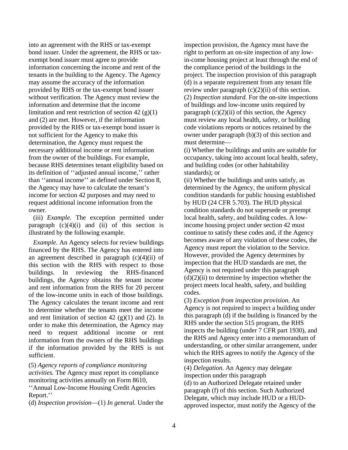into an agreement with the RHS or tax-exempt bond issuer. Under the agreement, the RHS or taxexempt bond issuer must agree to provide information concerning the income and rent of the tenants in the building to the Agency. The Agency may assume the accuracy of the information provided by RHS or the tax-exempt bond issuer without verification. The Agency must review the information and determine that the income limitation and rent restriction of section  $42$  (g)(1) and (2) are met. However, if the information provided by the RHS or tax-exempt bond issuer is not sufficient for the Agency to make this determination, the Agency must request the necessary additional income or rent information from the owner of the buildings. For example, because RHS determines tenant eligibility based on its definition of ''adjusted annual income,'' rather than ''annual income'' as defined under Section 8, the Agency may have to calculate the tenant's income for section 42 purposes and may need to request additional income information from the owner.

(iii) *Example.* The exception permitted under paragraph  $(c)(4)(i)$  and  $(ii)$  of this section is illustrated by the following example.

*Example.* An Agency selects for review buildings financed by the RHS. The Agency has entered into an agreement described in paragraph  $(c)(4)(ii)$  of this section with the RHS with respect to those buildings. In reviewing the RHS-financed buildings, the Agency obtains the tenant income and rent information from the RHS for 20 percent of the low-income units in each of those buildings. The Agency calculates the tenant income and rent to determine whether the tenants meet the income and rent limitation of section 42  $(g)(1)$  and  $(2)$ . In order to make this determination, the Agency may need to request additional income or rent information from the owners of the RHS buildings if the information provided by the RHS is not sufficient.

(5) *Agency reports of compliance monitoring activities.* The Agency must report its compliance monitoring activities annually on Form 8610,

''Annual Low-Income Housing Credit Agencies Report.''

(d) *Inspection provision*—(1) *In general.* Under the

inspection provision, the Agency must have the right to perform an on-site inspection of any lowin-come housing project at least through the end of the compliance period of the buildings in the project. The inspection provision of this paragraph (d) is a separate requirement from any tenant file review under paragraph  $(c)(2)(ii)$  of this section. (2) *Inspection standard.* For the on-site inspections of buildings and low-income units required by paragraph  $(c)(2)(ii)$  of this section, the Agency must review any local health, safety, or building code violations reports or notices retained by the owner under paragraph (b)(3) of this section and must determine—

(i) Whether the buildings and units are suitable for occupancy, taking into account local health, safety, and building codes (or other habitability standards); or

(ii) Whether the buildings and units satisfy, as determined by the Agency, the uniform physical condition standards for public housing established by HUD (24 CFR 5.703). The HUD physical condition standards do not supersede or preempt local health, safety, and building codes. A lowincome housing project under section 42 must continue to satisfy these codes and, if the Agency becomes aware of any violation of these codes, the Agency must report the violation to the Service. However, provided the Agency determines by inspection that the HUD standards are met, the Agency is not required under this paragraph  $(d)(2)(ii)$  to determine by inspection whether the project meets local health, safety, and building codes.

(3) *Exception from inspection provision.* An Agency is not required to inspect a building under this paragraph (d) if the building is financed by the RHS under the section 515 program, the RHS inspects the building (under 7 CFR part 1930), and the RHS and Agency enter into a memorandum of understanding, or other similar arrangement, under which the RHS agrees to notify the Agency of the inspection results.

(4) *Delegation.* An Agency may delegate inspection under this paragraph (d) to an Authorized Delegate retained under paragraph (f) of this section. Such Authorized Delegate, which may include HUD or a HUDapproved inspector, must notify the Agency of the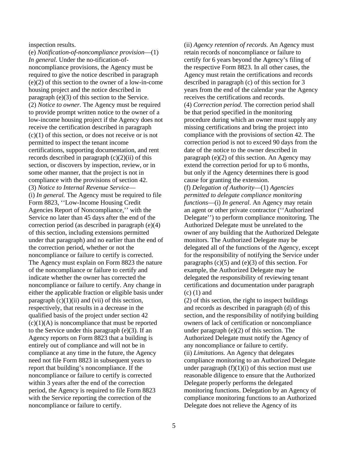inspection results.

(e) *Notification-of-noncompliance provision*—(1) *In general.* Under the no-tification-ofnoncompliance provisions, the Agency must be required to give the notice described in paragraph (e)(2) of this section to the owner of a low-in-come housing project and the notice described in paragraph (e)(3) of this section to the Service. (2) *Notice to owner.* The Agency must be required to provide prompt written notice to the owner of a low-income housing project if the Agency does not receive the certification described in paragraph  $(c)(1)$  of this section, or does not receive or is not permitted to inspect the tenant income certifications, supporting documentation, and rent records described in paragraph  $(c)(2)(ii)$  of this section, or discovers by inspection, review, or in some other manner, that the project is not in compliance with the provisions of section 42. (3) *Notice to Internal Revenue Service*— (i) *In general.* The Agency must be required to file Form 8823, ''Low-Income Housing Credit Agencies Report of Noncompliance,'' with the Service no later than 45 days after the end of the correction period (as described in paragraph (e)(4) of this section, including extensions permitted under that paragraph) and no earlier than the end of the correction period, whether or not the noncompliance or failure to certify is corrected. The Agency must explain on Form 8823 the nature of the noncompliance or failure to certify and indicate whether the owner has corrected the noncompliance or failure to certify. Any change in either the applicable fraction or eligible basis under paragraph  $(c)(1)(ii)$  and  $(vii)$  of this section, respectively, that results in a decrease in the qualified basis of the project under section 42  $(c)(1)(A)$  is noncompliance that must be reported to the Service under this paragraph (e)(3). If an Agency reports on Form 8823 that a building is entirely out of compliance and will not be in compliance at any time in the future, the Agency need not file Form 8823 in subsequent years to report that building's noncompliance. If the noncompliance or failure to certify is corrected within 3 years after the end of the correction period, the Agency is required to file Form 8823 with the Service reporting the correction of the noncompliance or failure to certify.

(ii) *Agency retention of records.* An Agency must retain records of noncompliance or failure to certify for 6 years beyond the Agency's filing of the respective Form 8823. In all other cases, the Agency must retain the certifications and records described in paragraph (c) of this section for 3 years from the end of the calendar year the Agency receives the certifications and records. (4) *Correction period.* The correction period shall be that period specified in the monitoring procedure during which an owner must supply any missing certifications and bring the project into compliance with the provisions of section 42. The correction period is not to exceed 90 days from the date of the notice to the owner described in paragraph (e)(2) of this section. An Agency may extend the correction period for up to 6 months, but only if the Agency determines there is good cause for granting the extension.

(f) *Delegation of Authority*—(1) *Agencies permitted to delegate compliance monitoring functions*—(i) *In general.* An Agency may retain an agent or other private contractor (''Authorized Delegate'') to perform compliance monitoring. The Authorized Delegate must be unrelated to the owner of any building that the Authorized Delegate monitors. The Authorized Delegate may be delegated all of the functions of the Agency, except for the responsibility of notifying the Service under paragraphs  $(c)(5)$  and  $(e)(3)$  of this section. For example, the Authorized Delegate may be delegated the responsibility of reviewing tenant certifications and documentation under paragraph (c) (1) and

(2) of this section, the right to inspect buildings and records as described in paragraph (d) of this section, and the responsibility of notifying building owners of lack of certification or noncompliance under paragraph (e)(2) of this section. The Authorized Delegate must notify the Agency of any noncompliance or failure to certify. (ii) *Limitations.* An Agency that delegates compliance monitoring to an Authorized Delegate under paragraph  $(f)(1)(i)$  of this section must use reasonable diligence to ensure that the Authorized Delegate properly performs the delegated monitoring functions. Delegation by an Agency of compliance monitoring functions to an Authorized Delegate does not relieve the Agency of its